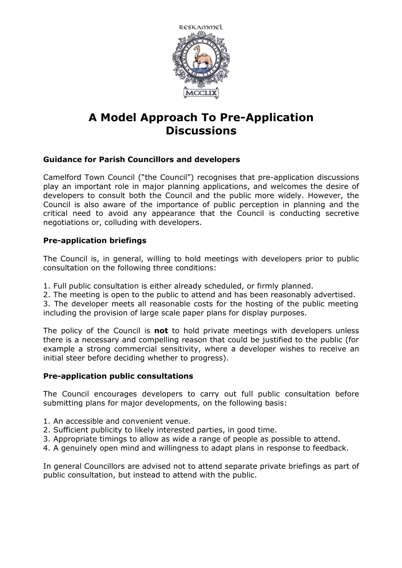

# **A Model Approach To Pre-Application Discussions**

## **Guidance for Parish Councillors and developers**

Camelford Town Council ("the Council") recognises that pre-application discussions play an important role in major planning applications, and welcomes the desire of developers to consult both the Council and the public more widely. However, the Council is also aware of the importance of public perception in planning and the critical need to avoid any appearance that the Council is conducting secretive negotiations or, colluding with developers.

### **Pre-application briefings**

The Council is, in general, willing to hold meetings with developers prior to public consultation on the following three conditions:

- 1. Full public consultation is either already scheduled, or firmly planned.
- 2. The meeting is open to the public to attend and has been reasonably advertised.

3. The developer meets all reasonable costs for the hosting of the public meeting including the provision of large scale paper plans for display purposes.

The policy of the Council is **not** to hold private meetings with developers unless there is a necessary and compelling reason that could be justified to the public (for example a strong commercial sensitivity, where a developer wishes to receive an initial steer before deciding whether to progress).

#### **Pre-application public consultations**

The Council encourages developers to carry out full public consultation before submitting plans for major developments, on the following basis:

- 1. An accessible and convenient venue.
- 2. Sufficient publicity to likely interested parties, in good time.
- 3. Appropriate timings to allow as wide a range of people as possible to attend.
- 4. A genuinely open mind and willingness to adapt plans in response to feedback.

In general Councillors are advised not to attend separate private briefings as part of public consultation, but instead to attend with the public.